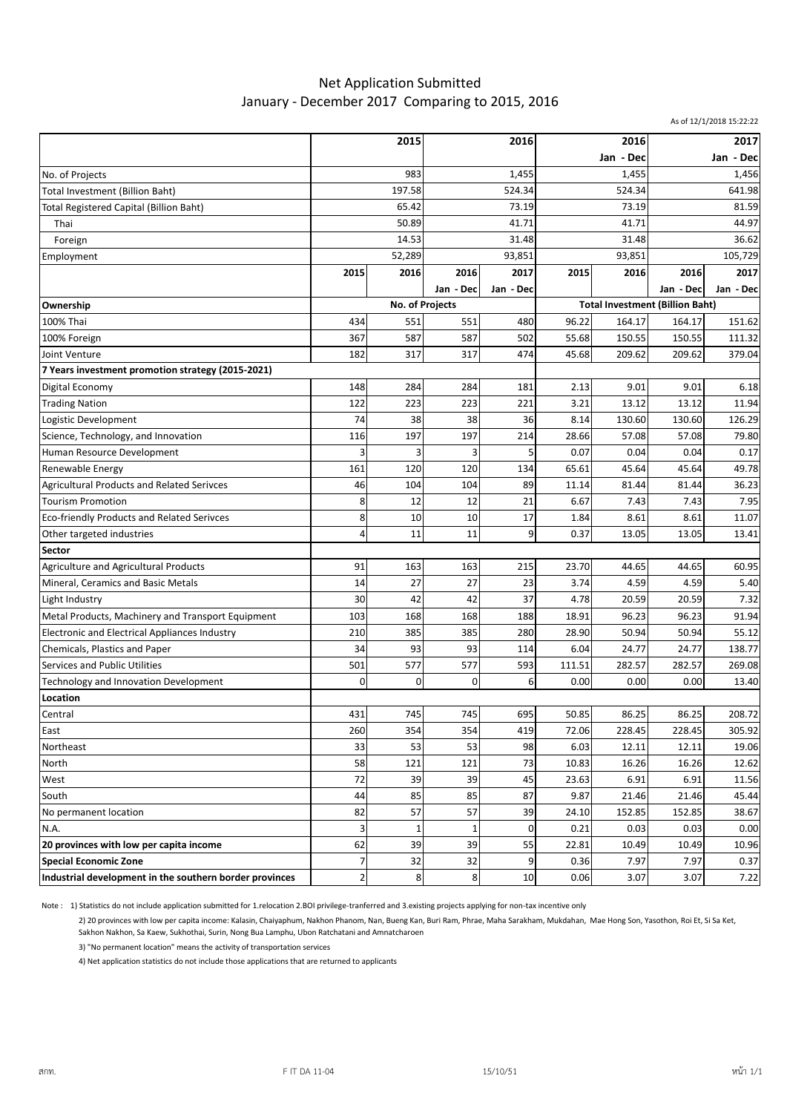## Net Application Submitted January - December 2017 Comparing to 2015, 2016

As of 12/1/2018 15:22:22

|                                                         | 2015           |                          | 2016      |           | 2016                                   |        | 2017      |           |
|---------------------------------------------------------|----------------|--------------------------|-----------|-----------|----------------------------------------|--------|-----------|-----------|
|                                                         |                |                          |           |           | Jan - Dec                              |        | Jan - Dec |           |
| No. of Projects                                         | 983            |                          | 1,455     |           | 1,455                                  |        | 1,456     |           |
| Total Investment (Billion Baht)                         | 197.58         |                          | 524.34    |           | 524.34                                 |        | 641.98    |           |
| Total Registered Capital (Billion Baht)                 | 65.42          |                          | 73.19     |           | 73.19                                  |        | 81.59     |           |
| Thai                                                    | 50.89          |                          | 41.71     |           | 41.71                                  |        | 44.97     |           |
| Foreign                                                 | 14.53          |                          | 31.48     |           | 31.48                                  |        | 36.62     |           |
| Employment                                              | 52,289         |                          | 93,851    |           | 93,851                                 |        | 105,729   |           |
|                                                         | 2015           | 2016                     | 2016      | 2017      | 2015                                   | 2016   | 2016      | 2017      |
|                                                         |                |                          | Jan - Dec | Jan - Dec |                                        |        | Jan - Dec | Jan - Dec |
| Ownership                                               |                | No. of Projects          |           |           | <b>Total Investment (Billion Baht)</b> |        |           |           |
| 100% Thai                                               | 434            | 551                      | 551       | 480       | 96.22                                  | 164.17 | 164.17    | 151.62    |
| 100% Foreign                                            | 367            | 587                      | 587       | 502       | 55.68                                  | 150.55 | 150.55    | 111.32    |
| Joint Venture                                           | 182            | 317                      | 317       | 474       | 45.68                                  | 209.62 | 209.62    | 379.04    |
| 7 Years investment promotion strategy (2015-2021)       |                |                          |           |           |                                        |        |           |           |
| Digital Economy                                         | 148            | 284                      | 284       | 181       | 2.13                                   | 9.01   | 9.01      | 6.18      |
| <b>Trading Nation</b>                                   | 122            | 223                      | 223       | 221       | 3.21                                   | 13.12  | 13.12     | 11.94     |
| Logistic Development                                    | 74             | 38                       | 38        | 36        | 8.14                                   | 130.60 | 130.60    | 126.29    |
| Science, Technology, and Innovation                     | 116            | 197                      | 197       | 214       | 28.66                                  | 57.08  | 57.08     | 79.80     |
| Human Resource Development                              | 3              |                          | 3         | 5         | 0.07                                   | 0.04   | 0.04      | 0.17      |
| Renewable Energy                                        | 161            | 120                      | 120       | 134       | 65.61                                  | 45.64  | 45.64     | 49.78     |
| <b>Agricultural Products and Related Serivces</b>       | 46             | 104                      | 104       | 89        | 11.14                                  | 81.44  | 81.44     | 36.23     |
| <b>Tourism Promotion</b>                                | 8              | 12                       | 12        | 21        | 6.67                                   | 7.43   | 7.43      | 7.95      |
| Eco-friendly Products and Related Serivces              | 8              | 10                       | 10        | 17        | 1.84                                   | 8.61   | 8.61      | 11.07     |
| Other targeted industries                               | 4              | 11                       | 11        | 9         | 0.37                                   | 13.05  | 13.05     | 13.41     |
| <b>Sector</b>                                           |                |                          |           |           |                                        |        |           |           |
| Agriculture and Agricultural Products                   | 91             | 163                      | 163       | 215       | 23.70                                  | 44.65  | 44.65     | 60.95     |
| Mineral, Ceramics and Basic Metals                      | 14             | 27                       | 27        | 23        | 3.74                                   | 4.59   | 4.59      | 5.40      |
| Light Industry                                          | 30             | 42                       | 42        | 37        | 4.78                                   | 20.59  | 20.59     | 7.32      |
| Metal Products, Machinery and Transport Equipment       | 103            | 168                      | 168       | 188       | 18.91                                  | 96.23  | 96.23     | 91.94     |
| Electronic and Electrical Appliances Industry           | 210            | 385                      | 385       | 280       | 28.90                                  | 50.94  | 50.94     | 55.12     |
| Chemicals, Plastics and Paper                           | 34             | 93                       | 93        | 114       | 6.04                                   | 24.77  | 24.77     | 138.77    |
| Services and Public Utilities                           | 501            | 577                      | 577       | 593       | 111.51                                 | 282.57 | 282.57    | 269.08    |
| Technology and Innovation Development                   | $\mathbf 0$    | 0                        | 0         | 6         | 0.00                                   | 0.00   | 0.00      | 13.40     |
| Location                                                |                |                          |           |           |                                        |        |           |           |
| Central                                                 | 431            | 745                      | 745       | 695       | 50.85                                  | 86.25  | 86.25     | 208.72    |
| East                                                    | 260            | 354                      | 354       | 419       | 72.06                                  | 228.45 | 228.45    | 305.92    |
| Northeast                                               | 33             | 53                       | 53        | 98        | 6.03                                   | 12.11  | 12.11     | 19.06     |
| North                                                   | 58             | 121                      | 121       | 73        | 10.83                                  | 16.26  | 16.26     | 12.62     |
| West                                                    | 72             | 39                       | 39        | 45        | 23.63                                  | 6.91   | 6.91      | 11.56     |
| South                                                   | 44             | 85                       | 85        | 87        | 9.87                                   | 21.46  | 21.46     | 45.44     |
| No permanent location                                   | 82             | 57                       | 57        | 39        | 24.10                                  | 152.85 | 152.85    | 38.67     |
| N.A.                                                    | 3              | $\overline{\phantom{a}}$ | 1         | 0         | 0.21                                   | 0.03   | 0.03      | 0.00      |
| 20 provinces with low per capita income                 | 62             | 39                       | 39        | 55        | 22.81                                  | 10.49  | 10.49     | 10.96     |
| <b>Special Economic Zone</b>                            | $\overline{7}$ | 32                       | 32        | 9         | 0.36                                   | 7.97   | 7.97      | 0.37      |
| Industrial development in the southern border provinces | $\mathbf 2$    | 8                        | 8         | 10        | 0.06                                   | 3.07   | 3.07      | 7.22      |

Note : 1) Statistics do not include application submitted for 1.relocation 2.BOI privilege-tranferred and 3.existing projects applying for non-tax incentive only

2) 20 provinces with low per capita income: Kalasin, Chaiyaphum, Nakhon Phanom, Nan, Bueng Kan, Buri Ram, Phrae, Maha Sarakham, Mukdahan, Mae Hong Son, Yasothon, Roi Et, Si Sa Ket, Sakhon Nakhon, Sa Kaew, Sukhothai, Surin, Nong Bua Lamphu, Ubon Ratchatani and Amnatcharoen

3) "No permanent location" means the activity of transportation services

4) Net application statistics do not include those applications that are returned to applicants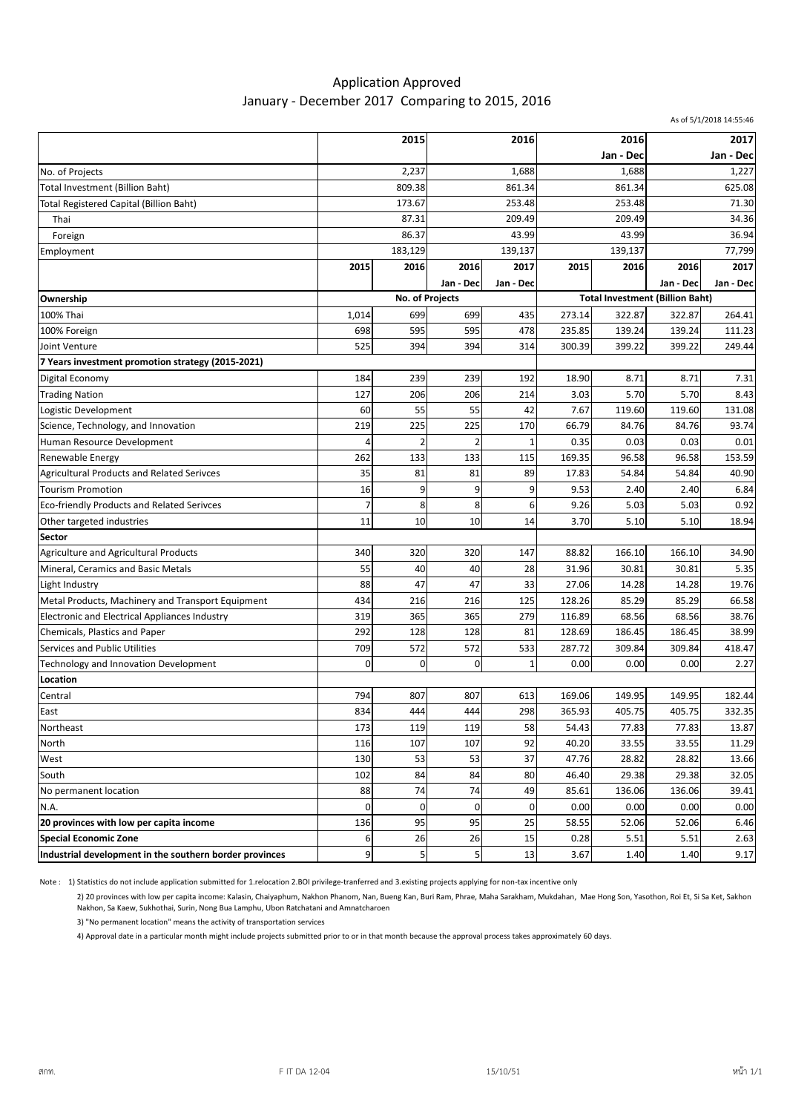## Application Approved January - December 2017 Comparing to 2015, 2016

|                                                         |                |                 |             |              |           |                                        |           | As of 5/1/2018 14:55:46 |
|---------------------------------------------------------|----------------|-----------------|-------------|--------------|-----------|----------------------------------------|-----------|-------------------------|
|                                                         | 2015           |                 | 2016        |              | 2016      |                                        | 2017      |                         |
|                                                         |                |                 |             |              | Jan - Dec |                                        | Jan - Dec |                         |
| No. of Projects                                         | 2,237          |                 | 1,688       |              | 1,688     |                                        | 1,227     |                         |
| Total Investment (Billion Baht)                         | 809.38         |                 | 861.34      |              | 861.34    |                                        | 625.08    |                         |
| <b>Total Registered Capital (Billion Baht)</b>          | 173.67         |                 | 253.48      |              | 253.48    |                                        | 71.30     |                         |
| Thai                                                    | 87.31          |                 | 209.49      |              | 209.49    |                                        | 34.36     |                         |
| Foreign                                                 | 86.37          |                 | 43.99       |              | 43.99     |                                        | 36.94     |                         |
| Employment                                              |                | 183,129         |             | 139,137      |           | 139,137                                |           | 77,799                  |
|                                                         | 2015           | 2016            | 2016        | 2017         | 2015      | 2016                                   | 2016      | 2017                    |
|                                                         |                |                 | Jan - Dec   | Jan - Dec    |           |                                        | Jan - Dec | Jan - Dec               |
| Ownership                                               |                | No. of Projects |             |              |           | <b>Total Investment (Billion Baht)</b> |           |                         |
| 100% Thai                                               | 1,014          | 699             | 699         | 435          | 273.14    | 322.87                                 | 322.87    | 264.41                  |
| 100% Foreign                                            | 698            | 595             | 595         | 478          | 235.85    | 139.24                                 | 139.24    | 111.23                  |
| Joint Venture                                           | 525            | 394             | 394         | 314          | 300.39    | 399.22                                 | 399.22    | 249.44                  |
| 7 Years investment promotion strategy (2015-2021)       |                |                 |             |              |           |                                        |           |                         |
| Digital Economy                                         | 184            | 239             | 239         | 192          | 18.90     | 8.71                                   | 8.71      | 7.31                    |
| <b>Trading Nation</b>                                   | 127            | 206             | 206         | 214          | 3.03      | 5.70                                   | 5.70      | 8.43                    |
| Logistic Development                                    | 60             | 55              | 55          | 42           | 7.67      | 119.60                                 | 119.60    | 131.08                  |
| Science, Technology, and Innovation                     | 219            | 225             | 225         | 170          | 66.79     | 84.76                                  | 84.76     | 93.74                   |
| Human Resource Development                              | 4              | $\overline{2}$  |             | 1            | 0.35      | 0.03                                   | 0.03      | 0.01                    |
| Renewable Energy                                        | 262            | 133             | 133         | 115          | 169.35    | 96.58                                  | 96.58     | 153.59                  |
| <b>Agricultural Products and Related Serivces</b>       | 35             | 81              | 81          | 89           | 17.83     | 54.84                                  | 54.84     | 40.90                   |
| <b>Tourism Promotion</b>                                | 16             | 9               | 9           | 9            | 9.53      | 2.40                                   | 2.40      | 6.84                    |
| Eco-friendly Products and Related Serivces              | $\overline{7}$ | 8               | 8           | 6            | 9.26      | 5.03                                   | 5.03      | 0.92                    |
| Other targeted industries                               | 11             | 10              | 10          | 14           | 3.70      | 5.10                                   | 5.10      | 18.94                   |
| Sector                                                  |                |                 |             |              |           |                                        |           |                         |
| Agriculture and Agricultural Products                   | 340            | 320             | 320         | 147          | 88.82     | 166.10                                 | 166.10    | 34.90                   |
| Mineral, Ceramics and Basic Metals                      | 55             | 40              | 40          | 28           | 31.96     | 30.81                                  | 30.81     | 5.35                    |
| Light Industry                                          | 88             | 47              | 47          | 33           | 27.06     | 14.28                                  | 14.28     | 19.76                   |
| Metal Products, Machinery and Transport Equipment       | 434            | 216             | 216         | 125          | 128.26    | 85.29                                  | 85.29     | 66.58                   |
| Electronic and Electrical Appliances Industry           | 319            | 365             | 365         | 279          | 116.89    | 68.56                                  | 68.56     | 38.76                   |
| Chemicals, Plastics and Paper                           | 292            | 128             | 128         | 81           | 128.69    | 186.45                                 | 186.45    | 38.99                   |
| Services and Public Utilities                           | 709            | 572             | 572         | 533          | 287.72    | 309.84                                 | 309.84    | 418.47                  |
| Technology and Innovation Development                   | $\mathbf 0$    | 0               | $\mathbf 0$ | $\mathbf{1}$ | 0.00      | 0.00                                   | 0.00      | 2.27                    |
| Location                                                |                |                 |             |              |           |                                        |           |                         |
| Central                                                 | 794            | 807             | 807         | 613          | 169.06    | 149.95                                 | 149.95    | 182.44                  |
| East                                                    | 834            | 444             | 444         | 298          | 365.93    | 405.75                                 | 405.75    | 332.35                  |
| Northeast                                               | 173            | 119             | 119         | 58           | 54.43     | 77.83                                  | 77.83     | 13.87                   |
| North                                                   | 116            | 107             | 107         | 92           | 40.20     | 33.55                                  | 33.55     | 11.29                   |
| West                                                    | 130            | 53              | 53          | 37           | 47.76     | 28.82                                  | 28.82     | 13.66                   |
| South                                                   | 102            | 84              | 84          | 80           | 46.40     | 29.38                                  | 29.38     | 32.05                   |
| No permanent location                                   | 88             | 74              | 74          | 49           | 85.61     | 136.06                                 | 136.06    | 39.41                   |
| N.A.                                                    | 0              | 0               | 0           | 0            | 0.00      | 0.00                                   | 0.00      | 0.00                    |
| 20 provinces with low per capita income                 | 136            | 95              | 95          | 25           | 58.55     | 52.06                                  | 52.06     | 6.46                    |
| <b>Special Economic Zone</b>                            | 6              | 26              | 26          | 15           | 0.28      | 5.51                                   | 5.51      | 2.63                    |
| Industrial development in the southern border provinces | 9              | 5               | 5           | 13           | 3.67      | 1.40                                   | 1.40      | 9.17                    |

Note : 1) Statistics do not include application submitted for 1.relocation 2.BOI privilege-tranferred and 3.existing projects applying for non-tax incentive only

2) 20 provinces with low per capita income: Kalasin, Chaiyaphum, Nakhon Phanom, Nan, Bueng Kan, Buri Ram, Phrae, Maha Sarakham, Mukdahan, Mae Hong Son, Yasothon, Roi Et, Si Sa Ket, Sakhon Nakhon, Sa Kaew, Sukhothai, Surin, Nong Bua Lamphu, Ubon Ratchatani and Amnatcharoen

3) "No permanent location" means the activity of transportation services

4) Approval date in a particular month might include projects submitted prior to or in that month because the approval process takes approximately 60 days.